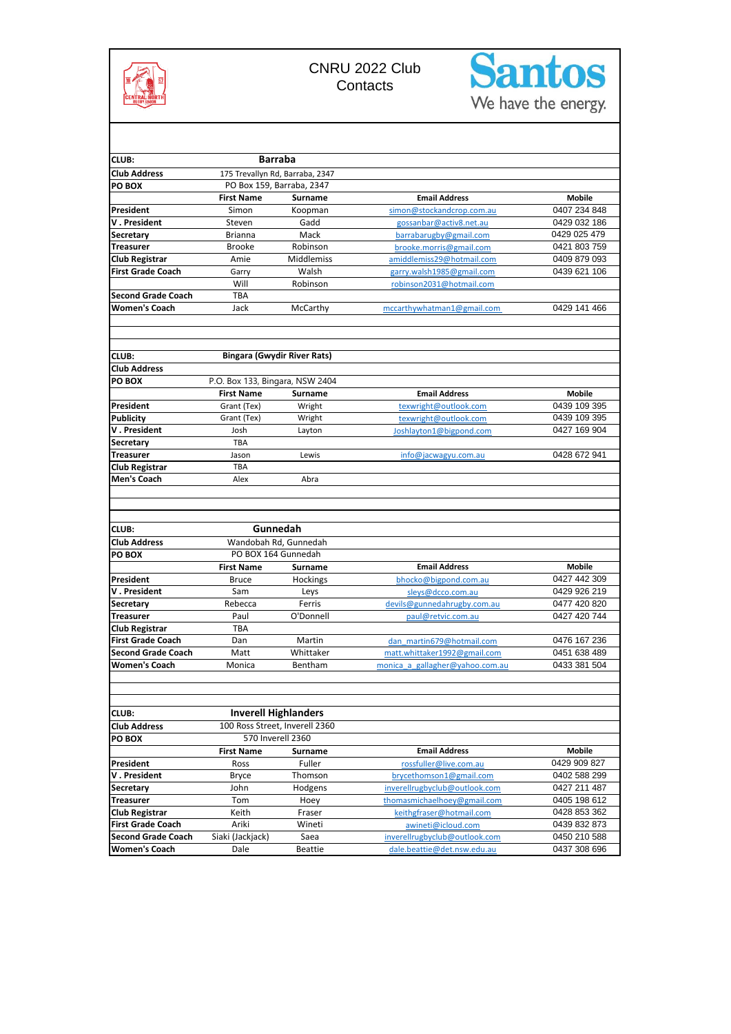

## CNRU 2022 Club **Contacts**



| CLUB:                         | <b>Barraba</b>                     |                   |                                                  |               |  |
|-------------------------------|------------------------------------|-------------------|--------------------------------------------------|---------------|--|
| <b>Club Address</b>           | 175 Trevallyn Rd, Barraba, 2347    |                   |                                                  |               |  |
| <b>PO BOX</b>                 | PO Box 159, Barraba, 2347          |                   |                                                  |               |  |
|                               | <b>First Name</b>                  | <b>Surname</b>    | <b>Email Address</b>                             | <b>Mobile</b> |  |
| President                     | Simon                              | Koopman           | simon@stockandcrop.com.au                        | 0407 234 848  |  |
| V . President                 | Steven                             | Gadd              | gossanbar@activ8.net.au                          | 0429 032 186  |  |
| Secretary                     | <b>Brianna</b>                     | Mack              | barrabarugby@gmail.com                           | 0429 025 479  |  |
| Treasurer                     | <b>Brooke</b>                      | Robinson          | brooke.morris@gmail.com                          | 0421 803 759  |  |
| Club Registrar                | Amie                               | <b>Middlemiss</b> | amiddlemiss29@hotmail.com                        | 0409 879 093  |  |
| <b>First Grade Coach</b>      | Garry                              | Walsh             | garry.walsh1985@gmail.com                        | 0439 621 106  |  |
|                               | Will                               | Robinson          | robinson2031@hotmail.com                         |               |  |
| <b>Second Grade Coach</b>     | <b>TBA</b>                         |                   |                                                  |               |  |
| Women's Coach                 | Jack                               | McCarthy          | mccarthywhatman1@gmail.com                       | 0429 141 466  |  |
|                               |                                    |                   |                                                  |               |  |
| CLUB:<br><b>Club Address</b>  | <b>Bingara (Gwydir River Rats)</b> |                   |                                                  |               |  |
|                               |                                    |                   |                                                  |               |  |
| <b>PO BOX</b>                 | P.O. Box 133, Bingara, NSW 2404    |                   |                                                  |               |  |
|                               | <b>First Name</b>                  | <b>Surname</b>    | <b>Email Address</b>                             | Mobile        |  |
| President                     | Grant (Tex)                        | Wright            | texwright@outlook.com                            | 0439 109 395  |  |
| Publicity                     | Grant (Tex)                        | Wright            | texwright@outlook.com                            | 0439 109 395  |  |
| V. President                  | Josh                               | Layton            | Joshlayton1@bigpond.com                          | 0427 169 904  |  |
| Secretary                     | <b>TBA</b>                         |                   |                                                  |               |  |
| Treasurer                     | Jason                              | Lewis             | info@jacwagyu.com.au                             | 0428 672 941  |  |
| Club Registrar<br>Men's Coach | <b>TBA</b><br>Alex                 | Abra              |                                                  |               |  |
|                               |                                    |                   |                                                  |               |  |
| CLUB:                         | Gunnedah                           |                   |                                                  |               |  |
| <b>Club Address</b>           | Wandobah Rd, Gunnedah              |                   |                                                  |               |  |
| PO BOX                        | PO BOX 164 Gunnedah                |                   |                                                  |               |  |
|                               | <b>First Name</b>                  | <b>Surname</b>    | <b>Email Address</b>                             | <b>Mobile</b> |  |
| President                     | <b>Bruce</b>                       |                   |                                                  | 0427 442 309  |  |
| V . President                 | Sam                                | Hockings<br>Leys  | bhocko@bigpond.com.au                            | 0429 926 219  |  |
| Secretary                     | Rebecca                            | Ferris            | sleys@dcco.com.au<br>devils@gunnedahrugby.com.au | 0477 420 820  |  |
| Treasurer                     | Paul                               | O'Donnell         | paul@retvic.com.au                               | 0427 420 744  |  |
| <b>Club Registrar</b>         | <b>TBA</b>                         |                   |                                                  |               |  |
| <b>First Grade Coach</b>      | Dan                                | Martin            | dan martin679@hotmail.com                        | 0476 167 236  |  |
| <b>Second Grade Coach</b>     | Matt                               | Whittaker         | matt.whittaker1992@gmail.com                     | 0451 638 489  |  |
| Women's Coach                 | Monica                             | Bentham           | monica a gallagher@yahoo.com.au                  | 0433 381 504  |  |
|                               |                                    |                   |                                                  |               |  |
|                               |                                    |                   |                                                  |               |  |
| <b>CLUB:</b>                  | <b>Inverell Highlanders</b>        |                   |                                                  |               |  |
| <b>Club Address</b>           | 100 Ross Street, Inverell 2360     |                   |                                                  |               |  |
| PO BOX                        | 570 Inverell 2360                  |                   |                                                  |               |  |
|                               | <b>First Name</b>                  | Surname           | <b>Email Address</b>                             | <b>Mobile</b> |  |
| President                     | Ross                               | Fuller            | rossfuller@live.com.au                           | 0429 909 827  |  |
| V . President                 | <b>Bryce</b>                       | Thomson           | brycethomson1@gmail.com                          | 0402 588 299  |  |
| Secretary                     | John                               | Hodgens           | inverellrugbyclub@outlook.com                    | 0427 211 487  |  |
| Treasurer                     | Tom                                | Hoey              | thomasmichaelhoey@gmail.com                      | 0405 198 612  |  |
| Club Registrar                | Keith                              | Fraser            | keithgfraser@hotmail.com                         | 0428 853 362  |  |
| <b>First Grade Coach</b>      | Ariki                              | Wineti            | awineti@icloud.com                               | 0439 832 873  |  |
| <b>Second Grade Coach</b>     | Siaki (Jackjack)                   | Saea              | inverellrugbyclub@outlook.com                    | 0450 210 588  |  |
| Women's Coach                 | Dale                               | Beattie           | dale.beattie@det.nsw.edu.au                      | 0437 308 696  |  |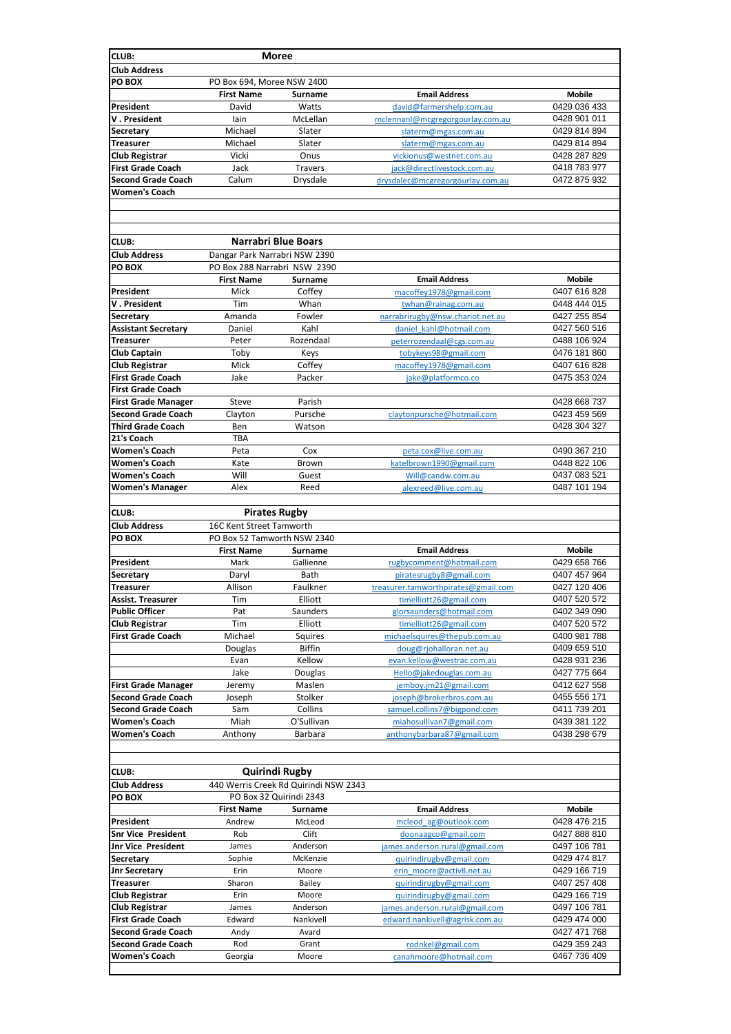| CLUB:                      | <b>Moree</b>                  |                                       |                                     |                              |  |  |
|----------------------------|-------------------------------|---------------------------------------|-------------------------------------|------------------------------|--|--|
| <b>Club Address</b>        |                               |                                       |                                     |                              |  |  |
| PO BOX                     | PO Box 694. Moree NSW 2400    |                                       |                                     |                              |  |  |
|                            |                               |                                       |                                     |                              |  |  |
|                            | <b>First Name</b>             | Surname                               | <b>Email Address</b>                | Mobile                       |  |  |
| President                  | David                         | Watts                                 | david@farmershelp.com.au            | 0429 036 433                 |  |  |
| V. President               | lain                          | McLellan                              | mclennanl@mcgregorgourlay.com.au    | 0428 901 011                 |  |  |
| Secretary                  | Michael                       | Slater                                | slaterm@mgas.com.au                 | 0429 814 894                 |  |  |
| <b>Treasurer</b>           | Michael                       | Slater                                | slaterm@mgas.com.au                 | 0429 814 894                 |  |  |
| Club Registrar             | Vicki                         | Onus                                  | vickionus@westnet.com.au            | 0428 287 829                 |  |  |
| <b>First Grade Coach</b>   | Jack                          | <b>Travers</b>                        | jack@directlivestock.com.au         | 0418 783 977                 |  |  |
| <b>Second Grade Coach</b>  | Calum                         | Drysdale                              | drysdalec@mcgregorgourlay.com.au    | 0472 875 932                 |  |  |
| Women's Coach              |                               |                                       |                                     |                              |  |  |
|                            |                               |                                       |                                     |                              |  |  |
|                            |                               |                                       |                                     |                              |  |  |
|                            |                               |                                       |                                     |                              |  |  |
| CLUB:                      |                               |                                       |                                     |                              |  |  |
|                            | <b>Narrabri Blue Boars</b>    |                                       |                                     |                              |  |  |
| <b>Club Address</b>        | Dangar Park Narrabri NSW 2390 |                                       |                                     |                              |  |  |
| PO BOX                     | PO Box 288 Narrabri NSW 2390  |                                       |                                     |                              |  |  |
|                            | <b>First Name</b>             | <b>Surname</b>                        | <b>Email Address</b>                | <b>Mobile</b>                |  |  |
| President                  | Mick                          | Coffey                                | macoffey1978@gmail.com              | 0407 616 828                 |  |  |
| V. President               | Tim                           | Whan                                  | twhan@rainag.com.au                 | 0448 444 015                 |  |  |
| Secretary                  | Amanda                        | Fowler                                | narrabrirugby@nsw.chariot.net.au    | 0427 255 854                 |  |  |
| <b>Assistant Secretary</b> | Daniel                        | Kahl                                  | daniel kahl@hotmail.com             | 0427 560 516                 |  |  |
| <b>Treasurer</b>           | Peter                         | Rozendaal                             | peterrozendaal@cgs.com.au           | 0488 106 924                 |  |  |
| <b>Club Captain</b>        | Toby                          | Keys                                  | tobykeys98@gmail.com                | 0476 181 860                 |  |  |
| Club Registrar             | Mick                          | Coffey                                | macoffey1978@gmail.com              | 0407 616 828                 |  |  |
| <b>First Grade Coach</b>   | Jake                          | Packer                                | jake@platformco.co                  | 0475 353 024                 |  |  |
| <b>First Grade Coach</b>   |                               |                                       |                                     |                              |  |  |
| <b>First Grade Manager</b> | Steve                         | Parish                                |                                     | 0428 668 737                 |  |  |
| <b>Second Grade Coach</b>  | Clayton                       | Pursche                               | claytonpursche@hotmail.com          | 0423 459 569                 |  |  |
| <b>Third Grade Coach</b>   | Ben                           | Watson                                |                                     | 0428 304 327                 |  |  |
| 21's Coach                 | TBA                           |                                       |                                     |                              |  |  |
| <b>Women's Coach</b>       | Peta                          | Cox                                   |                                     | 0490 367 210                 |  |  |
| <b>Women's Coach</b>       | Kate                          | Brown                                 | peta.cox@live.com.au                | 0448 822 106                 |  |  |
| <b>Women's Coach</b>       |                               |                                       | katelbrown1990@gmail.com            |                              |  |  |
|                            | Will<br>Alex                  | Guest                                 | Will@candw.com.au                   | 0437 083 521<br>0487 101 194 |  |  |
| <b>Women's Manager</b>     |                               | Reed                                  | alexreed@live.com.au                |                              |  |  |
| CLUB:                      | <b>Pirates Rugby</b>          |                                       |                                     |                              |  |  |
|                            |                               |                                       |                                     |                              |  |  |
| <b>Club Address</b>        | 16C Kent Street Tamworth      |                                       |                                     |                              |  |  |
| PO BOX                     | PO Box 52 Tamworth NSW 2340   |                                       |                                     |                              |  |  |
|                            | <b>First Name</b>             | <b>Surname</b>                        | <b>Email Address</b>                | <b>Mobile</b>                |  |  |
| President                  | Mark                          | Gallienne                             | rugbycomment@hotmail.com            | 0429 658 766                 |  |  |
| Secretary                  | Daryl                         | <b>Bath</b>                           | piratesrugby8@gmail.com             | 0407 457 964                 |  |  |
| Treasurer                  | Allison                       | Faulkner                              | treasurer.tamworthpirates@gmail.com | 0427 120 406                 |  |  |
| Assist. Treasurer          | 1 im                          | Elliott                               | timelliott26@gmail.com              | 0407 520 572                 |  |  |
| Public Officer             | Pat                           | Saunders                              | glorsaunders@hotmail.com            | 0402 349 090                 |  |  |
| Club Registrar             | Tim                           | Elliott                               | timelliott26@gmail.com              | 0407 520 572                 |  |  |
| First Grade Coach          | Michael                       | Squires                               | michaelsquires@thepub.com.au        | 0400 981 788                 |  |  |
|                            | Douglas                       | <b>Biffin</b>                         | doug@rjohalloran.net.au             | 0409 659 510                 |  |  |
|                            | Evan                          | Kellow                                | evan.kellow@westrac.com.au          | 0428 931 236                 |  |  |
|                            | Jake                          | Douglas                               | Hello@jakedouglas.com.au            | 0427 775 664                 |  |  |
| <b>First Grade Manager</b> | Jeremy                        | Maslen                                | jemboy.jm21@gmail.com               | 0412 627 558                 |  |  |
| <b>Second Grade Coach</b>  | Joseph                        | Stolker                               | joseph@brokerbros.com.au            | 0455 556 171                 |  |  |
| Second Grade Coach         | Sam                           | Collins                               | samuel.collins7@bigpond.com         | 0411 739 201                 |  |  |
| Women's Coach              | Miah                          | O'Sullivan                            | miahosullivan7@gmail.com            | 0439 381 122                 |  |  |
| Women's Coach              | Anthony                       | Barbara                               | anthonybarbara87@gmail.com          | 0438 298 679                 |  |  |
|                            |                               |                                       |                                     |                              |  |  |
|                            |                               |                                       |                                     |                              |  |  |
| CLUB:                      |                               | <b>Quirindi Rugby</b>                 |                                     |                              |  |  |
| <b>Club Address</b>        |                               | 440 Werris Creek Rd Quirindi NSW 2343 |                                     |                              |  |  |
| PO BOX                     |                               | PO Box 32 Quirindi 2343               |                                     |                              |  |  |
|                            |                               |                                       | <b>Email Address</b>                | <b>Mobile</b>                |  |  |
| President                  | <b>First Name</b>             | Surname                               |                                     | 0428 476 215                 |  |  |
|                            | Andrew                        | McLeod                                | mcleod ag@outlook.com               |                              |  |  |
| <b>Snr Vice President</b>  | Rob                           | Clift                                 | doonaagco@gmail.com                 | 0427 888 810                 |  |  |
| Jnr Vice President         | James                         | Anderson                              | james.anderson.rural@gmail.com      | 0497 106 781                 |  |  |
| Secretary                  | Sophie                        | McKenzie                              | guirindirugby@gmail.com             | 0429 474 817                 |  |  |
| <b>Jnr Secretary</b>       | Erin                          | Moore                                 | erin moore@activ8.net.au            | 0429 166 719                 |  |  |
| <b>Treasurer</b>           | Sharon                        | <b>Bailey</b>                         | quirindirugby@gmail.com             | 0407 257 408                 |  |  |
| Club Registrar             | Erin                          | Moore                                 | guirindirugby@gmail.com             | 0429 166 719                 |  |  |
| Club Registrar             | James                         | Anderson                              | james.anderson.rural@gmail.com      | 0497 106 781                 |  |  |
| <b>First Grade Coach</b>   | Edward                        | Nankivell                             | edward.nankivell@agrisk.com.au      | 0429 474 000                 |  |  |
| Second Grade Coach         | Andy                          | Avard                                 |                                     | 0427 471 768                 |  |  |
| <b>Second Grade Coach</b>  | Rod                           | Grant                                 | rodnkel@gmail.com                   | 0429 359 243                 |  |  |
| Women's Coach              | Georgia                       | Moore                                 | canahmoore@hotmail.com              | 0467 736 409                 |  |  |
|                            |                               |                                       |                                     |                              |  |  |